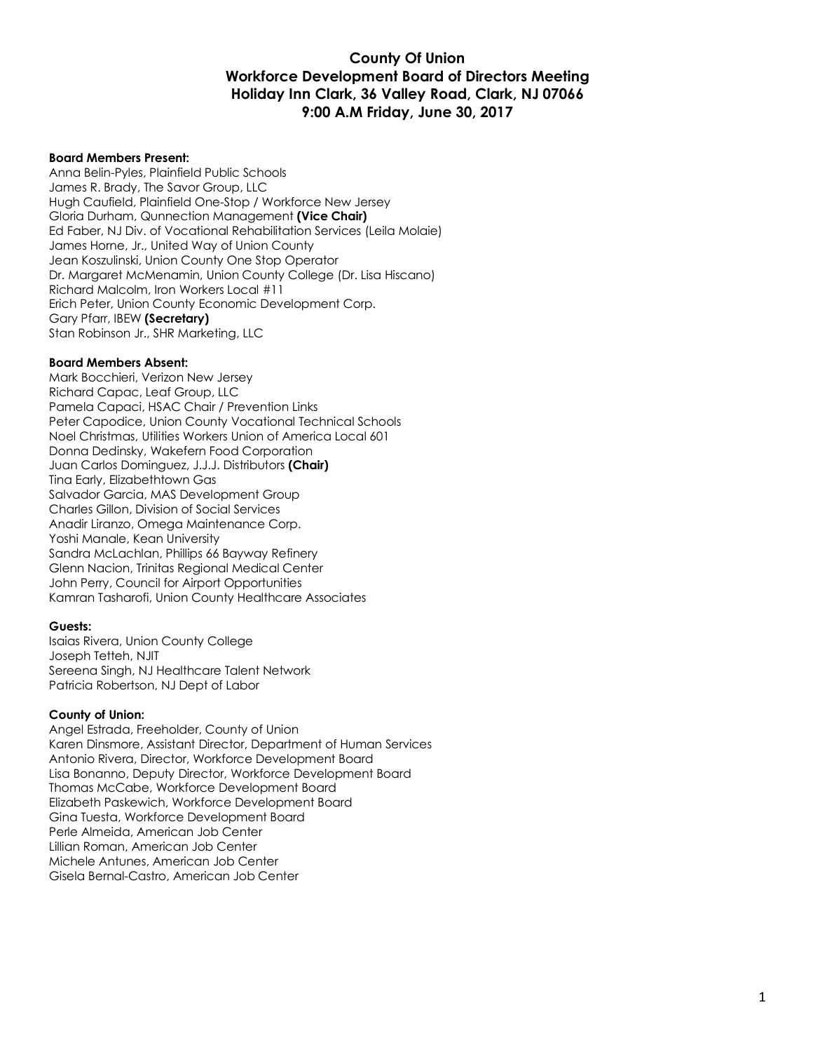## **County Of Union Workforce Development Board of Directors Meeting Holiday Inn Clark, 36 Valley Road, Clark, NJ 07066 9:00 A.M Friday, June 30, 2017**

#### **Board Members Present:**

Anna Belin-Pyles, Plainfield Public Schools James R. Brady, The Savor Group, LLC Hugh Caufield, Plainfield One-Stop / Workforce New Jersey Gloria Durham, Qunnection Management **(Vice Chair)** Ed Faber, NJ Div. of Vocational Rehabilitation Services (Leila Molaie) James Horne, Jr., United Way of Union County Jean Koszulinski, Union County One Stop Operator Dr. Margaret McMenamin, Union County College (Dr. Lisa Hiscano) Richard Malcolm, Iron Workers Local #11 Erich Peter, Union County Economic Development Corp. Gary Pfarr, IBEW **(Secretary)** Stan Robinson Jr., SHR Marketing, LLC

#### **Board Members Absent:**

Mark Bocchieri, Verizon New Jersey Richard Capac, Leaf Group, LLC Pamela Capaci, HSAC Chair / Prevention Links Peter Capodice, Union County Vocational Technical Schools Noel Christmas, Utilities Workers Union of America Local 601 Donna Dedinsky, Wakefern Food Corporation Juan Carlos Dominguez, J.J.J. Distributors **(Chair)** Tina Early, Elizabethtown Gas Salvador Garcia, MAS Development Group Charles Gillon, Division of Social Services Anadir Liranzo, Omega Maintenance Corp. Yoshi Manale, Kean University Sandra McLachlan, Phillips 66 Bayway Refinery Glenn Nacion, Trinitas Regional Medical Center John Perry, Council for Airport Opportunities Kamran Tasharofi, Union County Healthcare Associates

#### **Guests:**

Isaias Rivera, Union County College Joseph Tetteh, NJIT Sereena Singh, NJ Healthcare Talent Network Patricia Robertson, NJ Dept of Labor

#### **County of Union:**

Angel Estrada, Freeholder, County of Union Karen Dinsmore, Assistant Director, Department of Human Services Antonio Rivera, Director, Workforce Development Board Lisa Bonanno, Deputy Director, Workforce Development Board Thomas McCabe, Workforce Development Board Elizabeth Paskewich, Workforce Development Board Gina Tuesta, Workforce Development Board Perle Almeida, American Job Center Lillian Roman, American Job Center Michele Antunes, American Job Center Gisela Bernal-Castro, American Job Center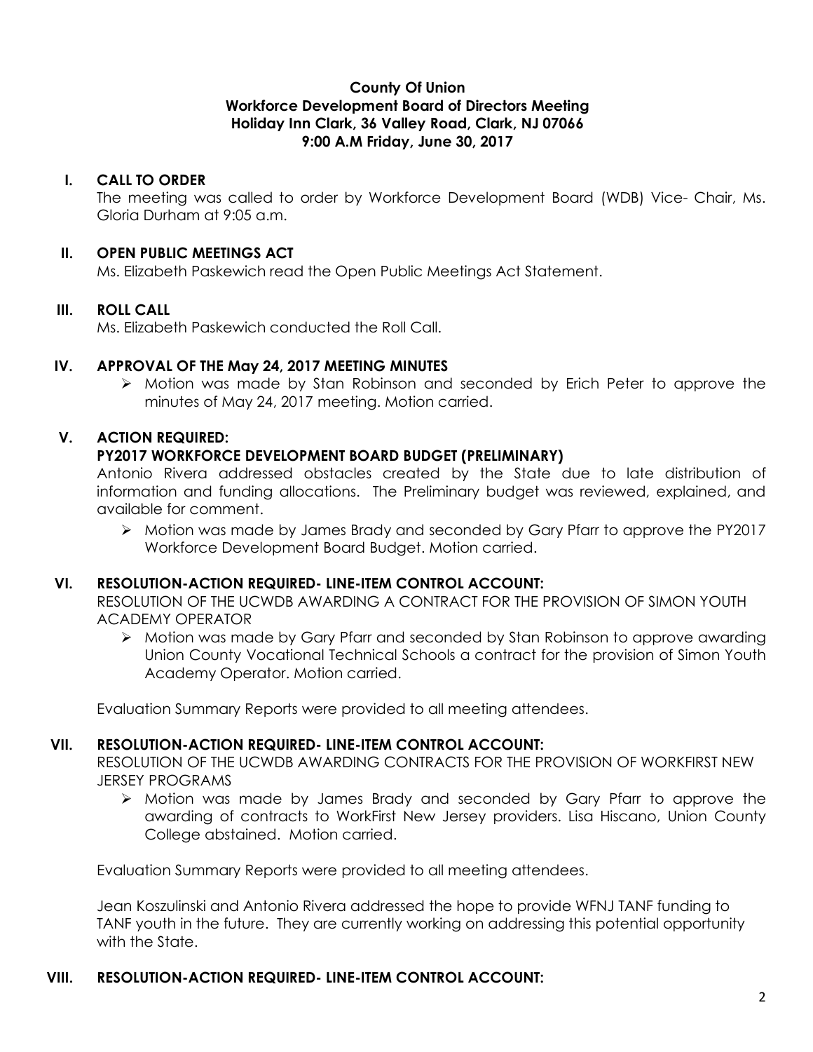## **County Of Union Workforce Development Board of Directors Meeting Holiday Inn Clark, 36 Valley Road, Clark, NJ 07066 9:00 A.M Friday, June 30, 2017**

## **I. CALL TO ORDER**

The meeting was called to order by Workforce Development Board (WDB) Vice- Chair, Ms. Gloria Durham at 9:05 a.m.

### **II. OPEN PUBLIC MEETINGS ACT**

Ms. Elizabeth Paskewich read the Open Public Meetings Act Statement.

### **III. ROLL CALL**

Ms. Elizabeth Paskewich conducted the Roll Call.

## **IV. APPROVAL OF THE May 24, 2017 MEETING MINUTES**

Ø Motion was made by Stan Robinson and seconded by Erich Peter to approve the minutes of May 24, 2017 meeting. Motion carried.

## **V. ACTION REQUIRED:**

### **PY2017 WORKFORCE DEVELOPMENT BOARD BUDGET (PRELIMINARY)**

Antonio Rivera addressed obstacles created by the State due to late distribution of information and funding allocations. The Preliminary budget was reviewed, explained, and available for comment.

 $\triangleright$  Motion was made by James Brady and seconded by Gary Pfarr to approve the PY2017 Workforce Development Board Budget. Motion carried.

### **VI. RESOLUTION-ACTION REQUIRED- LINE-ITEM CONTROL ACCOUNT:**

RESOLUTION OF THE UCWDB AWARDING A CONTRACT FOR THE PROVISION OF SIMON YOUTH ACADEMY OPERATOR

 $\triangleright$  Motion was made by Gary Pfarr and seconded by Stan Robinson to approve awarding Union County Vocational Technical Schools a contract for the provision of Simon Youth Academy Operator. Motion carried.

Evaluation Summary Reports were provided to all meeting attendees.

### **VII. RESOLUTION-ACTION REQUIRED- LINE-ITEM CONTROL ACCOUNT:**

RESOLUTION OF THE UCWDB AWARDING CONTRACTS FOR THE PROVISION OF WORKFIRST NEW JERSEY PROGRAMS

 $\triangleright$  Motion was made by James Brady and seconded by Gary Pfarr to approve the awarding of contracts to WorkFirst New Jersey providers. Lisa Hiscano, Union County College abstained. Motion carried.

Evaluation Summary Reports were provided to all meeting attendees.

Jean Koszulinski and Antonio Rivera addressed the hope to provide WFNJ TANF funding to TANF youth in the future. They are currently working on addressing this potential opportunity with the State.

## **VIII. RESOLUTION-ACTION REQUIRED- LINE-ITEM CONTROL ACCOUNT:**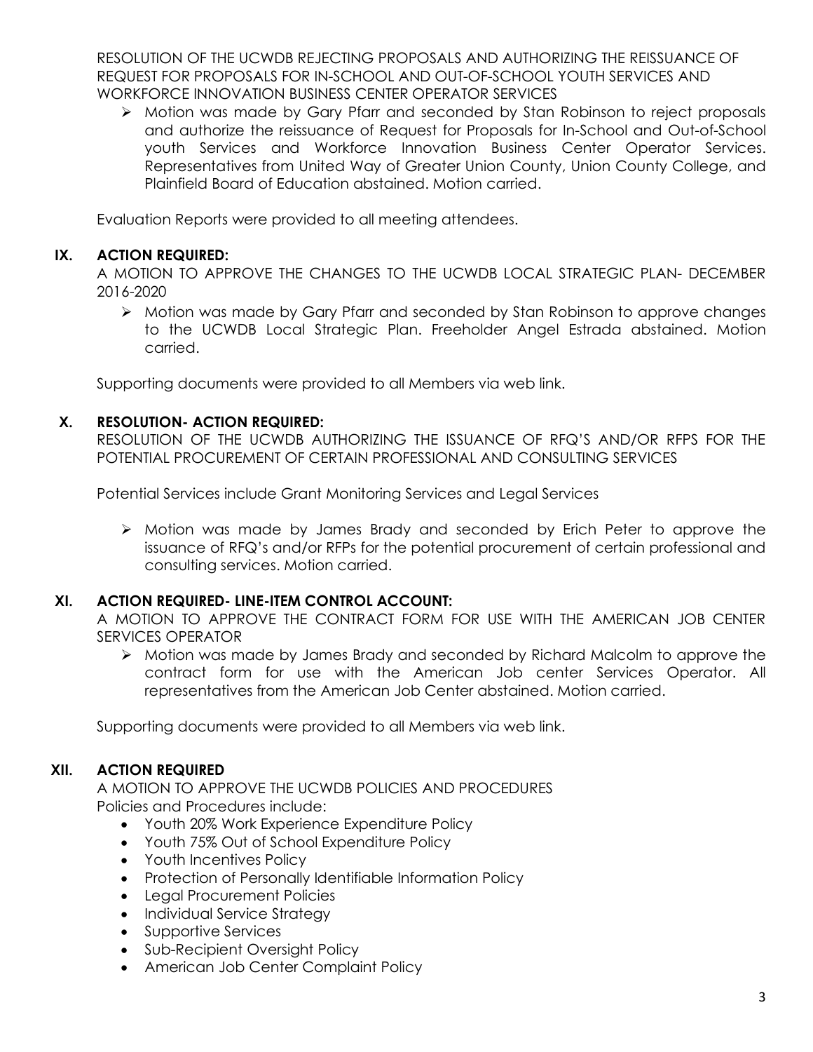RESOLUTION OF THE UCWDB REJECTING PROPOSALS AND AUTHORIZING THE REISSUANCE OF REQUEST FOR PROPOSALS FOR IN-SCHOOL AND OUT-OF-SCHOOL YOUTH SERVICES AND WORKFORCE INNOVATION BUSINESS CENTER OPERATOR SERVICES

Ø Motion was made by Gary Pfarr and seconded by Stan Robinson to reject proposals and authorize the reissuance of Request for Proposals for In-School and Out-of-School youth Services and Workforce Innovation Business Center Operator Services. Representatives from United Way of Greater Union County, Union County College, and Plainfield Board of Education abstained. Motion carried.

Evaluation Reports were provided to all meeting attendees.

# **IX. ACTION REQUIRED:**

A MOTION TO APPROVE THE CHANGES TO THE UCWDB LOCAL STRATEGIC PLAN- DECEMBER 2016-2020

 $\triangleright$  Motion was made by Gary Pfarr and seconded by Stan Robinson to approve changes to the UCWDB Local Strategic Plan. Freeholder Angel Estrada abstained. Motion carried.

Supporting documents were provided to all Members via web link.

# **X. RESOLUTION- ACTION REQUIRED:**

RESOLUTION OF THE UCWDB AUTHORIZING THE ISSUANCE OF RFQ'S AND/OR RFPS FOR THE POTENTIAL PROCUREMENT OF CERTAIN PROFESSIONAL AND CONSULTING SERVICES

Potential Services include Grant Monitoring Services and Legal Services

Ø Motion was made by James Brady and seconded by Erich Peter to approve the issuance of RFQ's and/or RFPs for the potential procurement of certain professional and consulting services. Motion carried.

# **XI. ACTION REQUIRED- LINE-ITEM CONTROL ACCOUNT:**

A MOTION TO APPROVE THE CONTRACT FORM FOR USE WITH THE AMERICAN JOB CENTER SERVICES OPERATOR

Ø Motion was made by James Brady and seconded by Richard Malcolm to approve the contract form for use with the American Job center Services Operator. All representatives from the American Job Center abstained. Motion carried.

Supporting documents were provided to all Members via web link.

# **XII. ACTION REQUIRED**

A MOTION TO APPROVE THE UCWDB POLICIES AND PROCEDURES Policies and Procedures include:

- Youth 20% Work Experience Expenditure Policy
- Youth 75% Out of School Expenditure Policy
- Youth Incentives Policy
- Protection of Personally Identifiable Information Policy
- Legal Procurement Policies
- Individual Service Strategy
- Supportive Services
- Sub-Recipient Oversight Policy
- American Job Center Complaint Policy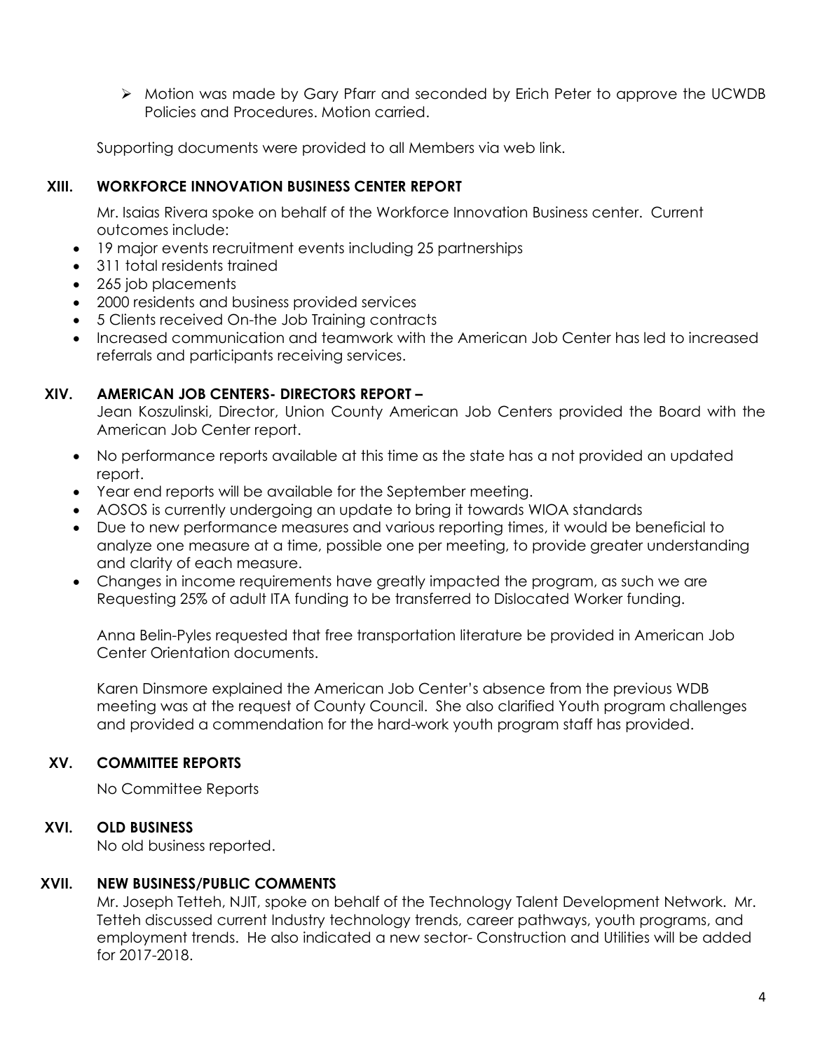Ø Motion was made by Gary Pfarr and seconded by Erich Peter to approve the UCWDB Policies and Procedures. Motion carried.

Supporting documents were provided to all Members via web link.

# **XIII. WORKFORCE INNOVATION BUSINESS CENTER REPORT**

Mr. Isaias Rivera spoke on behalf of the Workforce Innovation Business center. Current outcomes include:

- 19 major events recruitment events including 25 partnerships
- 311 total residents trained
- 265 job placements
- 2000 residents and business provided services
- 5 Clients received On-the Job Training contracts
- Increased communication and teamwork with the American Job Center has led to increased referrals and participants receiving services.

# **XIV. AMERICAN JOB CENTERS- DIRECTORS REPORT –**

Jean Koszulinski, Director, Union County American Job Centers provided the Board with the American Job Center report.

- No performance reports available at this time as the state has a not provided an updated report.
- Year end reports will be available for the September meeting.
- AOSOS is currently undergoing an update to bring it towards WIOA standards
- Due to new performance measures and various reporting times, it would be beneficial to analyze one measure at a time, possible one per meeting, to provide greater understanding and clarity of each measure.
- Changes in income requirements have greatly impacted the program, as such we are Requesting 25% of adult ITA funding to be transferred to Dislocated Worker funding.

Anna Belin-Pyles requested that free transportation literature be provided in American Job Center Orientation documents.

Karen Dinsmore explained the American Job Center's absence from the previous WDB meeting was at the request of County Council. She also clarified Youth program challenges and provided a commendation for the hard-work youth program staff has provided.

# **XV. COMMITTEE REPORTS**

No Committee Reports

# **XVI. OLD BUSINESS**

No old business reported.

## **XVII. NEW BUSINESS/PUBLIC COMMENTS**

Mr. Joseph Tetteh, NJIT, spoke on behalf of the Technology Talent Development Network. Mr. Tetteh discussed current Industry technology trends, career pathways, youth programs, and employment trends. He also indicated a new sector- Construction and Utilities will be added for 2017-2018.